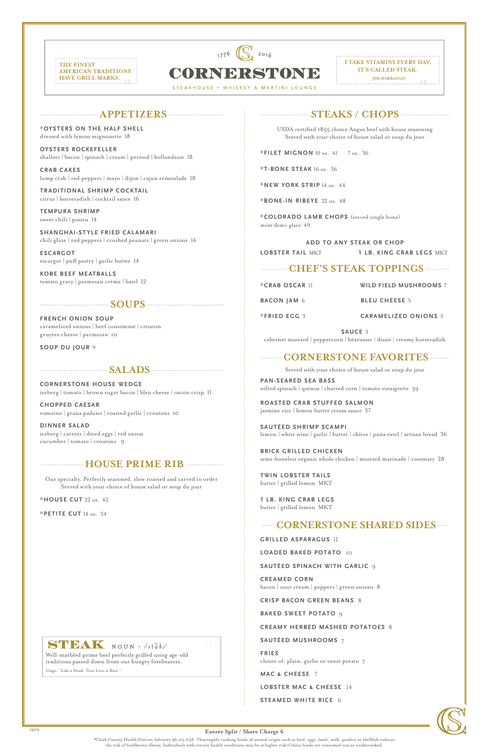**I TAKE VITAMINS EVERY DAY; IT'S CALLED STEAK.**

**-JIM HARBAUGH**





CORNDRSTOND

## **APPETIZERS**

**\*OYSTERS ON THE HALF SHELL** dressed with lemon mignonette 18

**OYSTERS ROCKEFELLER** shallots | bacon | spinach | cream | pernod | hollandaise 18

**CRAB CAKES** lump crab | red peppers | mayo | dijon | cajun rémoulade 18

**TRADITIONAL SHRIMP COCKTAIL** citrus | horseradish | cocktail sauce 16

**TEMPURA SHRIMP** sweet chili | ponzu 14

**SHANGHAI-STYLE FRIED CALAMARI** chili glaze | red peppers | crushed peanuts | green onions 14

**ESCARGOT** escargot | puff pastry | garlic butter 14

**KOBE BEEF MEATBALLS** tomato gravy | parmesan crème | basil 12

# **SOUPS**

**FRENCH ONION SOUP**  caramelized onions | beef consommé | crouton gruyère cheese | parmesan 10

**SOUP DU JOUR** 9

### **EXAMPLE SALADS CONSTRAINS**

**CORNERSTONE HOUSE WEDGE** iceberg | tomato | brown sugar bacon | bleu cheese | onion crisp 11

**CHOPPED CAESAR** romaine | grana padano | roasted garlic | croutons 10

**DINNER SALAD** iceberg | carrots | diced eggs | red onion cucumber | tomato | croutons 9

## **HOUSE PRIME RIB**

Our specialty. Perfectly seasoned, slow roasted and carved to order Served with your choice of house salad or soup du jour

**\*HOUSE CUT** 22 oz. 42

**\*PETITE CUT** 14 oz. 34

# **STEAKS / CHOPS**

USDA certified 1855 choice Angus beef with house seasoning Served with your choice of house salad or soup du jour

**\*FILET MIGNON** 10 oz. 41 7 oz. 36

**\*T-BONE STEAK** 16 oz. 36

**\*NEW YORK STRIP** 14 oz. 44

**\*BONE-IN RIBEYE** 22 oz. 48

**\*COLORADO LAMB CHOPS** (served single bone) mint demi-glace 49

**ADD TO ANY STEAK OR CHOP LOBSTER TAIL** MKT **1 LB. KING CRAB LEGS** MKT

# **CHEF'S STEAK TOPPINGS**

**\*CRAB OSCAR** 11 **WILD FIELD MUSHROOMS** 7

**BACON JAM** <sup>6</sup> **BLEU CHEESE** <sup>5</sup>

**\*FRIED EGG** <sup>3</sup> **CARAMELIZED ONIONS** <sup>3</sup>

**SAUCE** 3 cabernet mustard | peppercorn | béarnaise | diane | creamy horseradish

## **CORNERSTONE FAVORITES**

Served with your choice of house salad or soup du jour

**PAN-SEARED SEA BASS** wilted spinach | quinoa | charred corn | tomato vinaigrette 39

**ROASTED CRAB STUFFED SALMON** jasmine rice | lemon butter cream sauce 37

**SAUTÉED SHRIMP SCAMPI** lemon | white wine | garlic | butter | chives | pasta twirl | artisan bread 36

**BRICK GRILLED CHICKEN** semi-boneless organic whole chicken | mustard marinade | rosemary 28

**TWIN LOBSTER TAILS** butter | grilled lemon MKT

**1 LB. KING CRAB LEGS**  butter | grilled lemon MKT

# **CORNERSTONE SHARED SIDES**

**GRILLED ASPARAGUS** 11

**LOADED BAKED POTATO** 10

# STEAK NOUN . /stak/

**SAUTÉED SPINACH WITH GARLIC** 9

**CREAMED CORN** bacon | sour cream | peppers | green onions8

**CRISP BACON GREEN BEANS** 8

**BAKED SWEET POTATO** 9

**CREAMY HERBED MASHED POTATOES** 8

**SAUTÉED MUSHROOMS** 7

**FRIES** choice of: plain, garlic or sweet potato7

**MAC & CHEESE** 7

**LOBSTER MAC & CHEESE** 14

**STEAMED WHITE RICE** 6



\*Clark County Health District Advisory 96.03.038: Thoroughly cooking foods of animal origin such as beef, eggs, lamb, milk, poultry or shellfish reduces the risk of foodborne illness. Individuals with certain health conditions may be at higher risk if these foods are consumed raw or undercooked.

**Entrée Split / Share Charge 6**

Well-marbled prime beef perfectly grilled using age-old traditions passed down from our hungry forebearers.

Usage: "Like a Steak, True Love is Rare."

1902